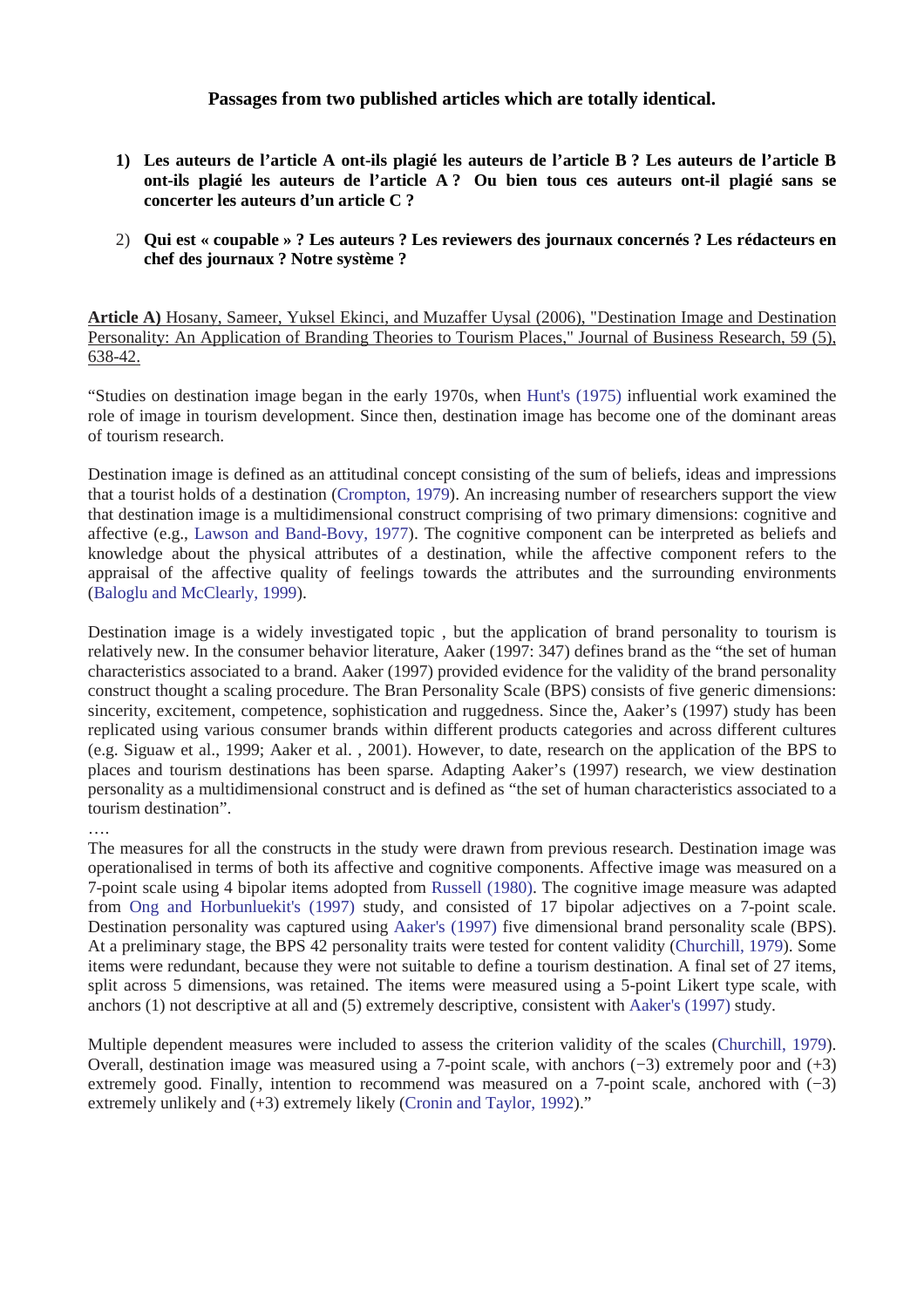## **Passages from two published articles which are totally identical.**

- **1) Les auteurs de l'article A ont-ils plagié les auteurs de l'article B ? Les auteurs de l'article B ont-ils plagié les auteurs de l'article A ? Ou bien tous ces auteurs ont-il plagié sans se concerter les auteurs d'un article C ?**
- 2) **Qui est « coupable » ? Les auteurs ? Les reviewers des journaux concernés ? Les rédacteurs en chef des journaux ? Notre système ?**

**Article A)** Hosany, Sameer, Yuksel Ekinci, and Muzaffer Uysal (2006), "Destination Image and Destination Personality: An Application of Branding Theories to Tourism Places," Journal of Business Research, 59 (5), 638-42.

"Studies on destination image began in the early 1970s, when Hunt's (1975) influential work examined the role of image in tourism development. Since then, destination image has become one of the dominant areas of tourism research.

Destination image is defined as an attitudinal concept consisting of the sum of beliefs, ideas and impressions that a tourist holds of a destination (Crompton, 1979). An increasing number of researchers support the view that destination image is a multidimensional construct comprising of two primary dimensions: cognitive and affective (e.g., Lawson and Band-Bovy, 1977). The cognitive component can be interpreted as beliefs and knowledge about the physical attributes of a destination, while the affective component refers to the appraisal of the affective quality of feelings towards the attributes and the surrounding environments (Baloglu and McClearly, 1999).

Destination image is a widely investigated topic , but the application of brand personality to tourism is relatively new. In the consumer behavior literature, Aaker (1997: 347) defines brand as the "the set of human characteristics associated to a brand. Aaker (1997) provided evidence for the validity of the brand personality construct thought a scaling procedure. The Bran Personality Scale (BPS) consists of five generic dimensions: sincerity, excitement, competence, sophistication and ruggedness. Since the, Aaker's (1997) study has been replicated using various consumer brands within different products categories and across different cultures (e.g. Siguaw et al., 1999; Aaker et al. , 2001). However, to date, research on the application of the BPS to places and tourism destinations has been sparse. Adapting Aaker's (1997) research, we view destination personality as a multidimensional construct and is defined as "the set of human characteristics associated to a tourism destination".

## ….

The measures for all the constructs in the study were drawn from previous research. Destination image was operationalised in terms of both its affective and cognitive components. Affective image was measured on a 7-point scale using 4 bipolar items adopted from Russell (1980). The cognitive image measure was adapted from Ong and Horbunluekit's (1997) study, and consisted of 17 bipolar adjectives on a 7-point scale. Destination personality was captured using Aaker's (1997) five dimensional brand personality scale (BPS). At a preliminary stage, the BPS 42 personality traits were tested for content validity (Churchill, 1979). Some items were redundant, because they were not suitable to define a tourism destination. A final set of 27 items, split across 5 dimensions, was retained. The items were measured using a 5-point Likert type scale, with anchors (1) not descriptive at all and (5) extremely descriptive, consistent with Aaker's (1997) study.

Multiple dependent measures were included to assess the criterion validity of the scales (Churchill, 1979). Overall, destination image was measured using a 7-point scale, with anchors (−3) extremely poor and (+3) extremely good. Finally, intention to recommend was measured on a 7-point scale, anchored with (−3) extremely unlikely and  $(+3)$  extremely likely (Cronin and Taylor, 1992)."